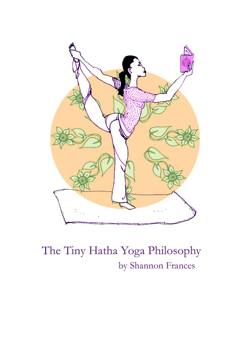

# The Tiny Hatha Yoga Philosophy by Shannon Frances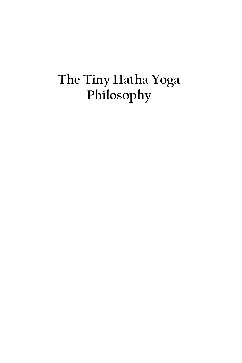# **The Tiny Hatha Yoga Philosophy**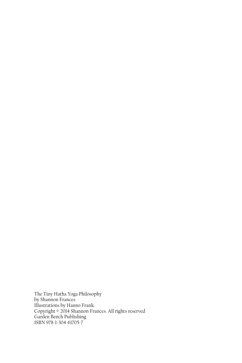The Tiny Hatha Yoga Philosophy by Shannon Frances Illustrations by Hanno Frank. Copyright © 2014 Shannon Frances. All rights reserved Garden Bench Publishing ISBN 978-1-304-61705-7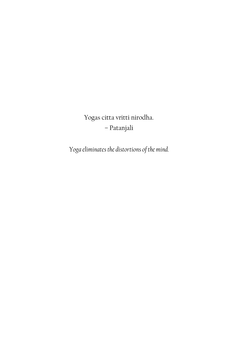Yogas citta vritti nirodha. – Patanjali

*Yoga eliminates the distortions of the mind.*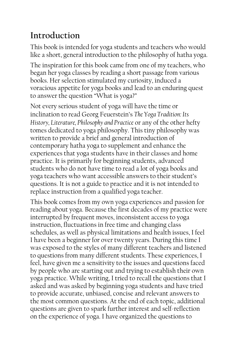#### **Introduction**

This book is intended for yoga students and teachers who would like a short, general introduction to the philosophy of hatha yoga.

The inspiration for this book came from one of my teachers, who began her yoga classes by reading a short passage from various books. Her selection stimulated my curiosity, induced a voracious appetite for yoga books and lead to an enduring quest to answer the question "What is yoga?"

Not every serious student of yoga will have the time or inclination to read Georg Feuerstein's *The Yoga Tradition: Its History, Literature, Philosophy and Practice* or any of the other hefty tomes dedicated to yoga philosophy. This tiny philosophy was written to provide a brief and general introduction of contemporary hatha yoga to supplement and enhance the experiences that yoga students have in their classes and home practice. It is primarily for beginning students, advanced students who do not have time to read a lot of yoga books and yoga teachers who want accessible answers to their student's questions. It is not a guide to practice and it is not intended to replace instruction from a qualified yoga teacher.

This book comes from my own yoga experiences and passion for reading about yoga. Because the first decades of my practice were interrupted by frequent moves, inconsistent access to yoga instruction, fluctuations in free time and changing class schedules, as well as physical limitations and health issues, I feel I have been a beginner for over twenty years. During this time I was exposed to the styles of many different teachers and listened to questions from many different students. These experiences, I feel, have given me a sensitivity to the issues and questions faced by people who are starting out and trying to establish their own yoga practice. While writing, I tried to recall the questions that I asked and was asked by beginning yoga students and have tried to provide accurate, unbiased, concise and relevant answers to the most common questions. At the end of each topic, additional questions are given to spark further interest and self-reflection on the experience of yoga. I have organized the questions to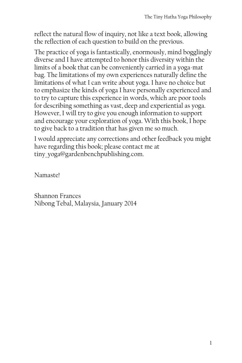reflect the natural flow of inquiry, not like a text book, allowing the reflection of each question to build on the previous.

The practice of yoga is fantastically, enormously, mind bogglingly diverse and I have attempted to honor this diversity within the limits of a book that can be conveniently carried in a yoga-mat bag. The limitations of my own experiences naturally define the limitations of what I can write about yoga. I have no choice but to emphasize the kinds of yoga I have personally experienced and to try to capture this experience in words, which are poor tools for describing something as vast, deep and experiential as yoga. However, I will try to give you enough information to support and encourage your exploration of yoga. With this book, I hope to give back to a tradition that has given me so much.

I would appreciate any corrections and other feedback you might have regarding this book; please contact me at tiny yoga@gardenbenchpublishing.com.

Namaste!

Shannon Frances Nibong Tebal, Malaysia, January 2014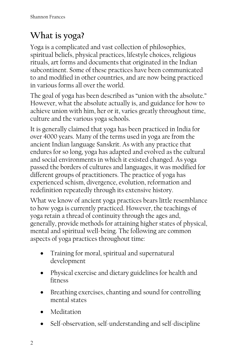#### **What is yoga?**

Yoga is a complicated and vast collection of philosophies, spiritual beliefs, physical practices, lifestyle choices, religious rituals, art forms and documents that originated in the Indian subcontinent. Some of these practices have been communicated to and modified in other countries, and are now being practiced in various forms all over the world.

The goal of yoga has been described as "union with the absolute." However, what the absolute actually is, and guidance for how to achieve union with him, her or it, varies greatly throughout time, culture and the various yoga schools.

It is generally claimed that yoga has been practiced in India for over 4000 years. Many of the terms used in yoga are from the ancient Indian language Sanskrit. As with any practice that endures for so long, yoga has adapted and evolved as the cultural and social environments in which it existed changed. As yoga passed the borders of cultures and languages, it was modified for different groups of practitioners. The practice of yoga has experienced schism, divergence, evolution, reformation and redefinition repeatedly through its extensive history.

What we know of ancient yoga practices bears little resemblance to how yoga is currently practiced. However, the teachings of yoga retain a thread of continuity through the ages and, generally, provide methods for attaining higher states of physical, mental and spiritual well-being. The following are common aspects of yoga practices throughout time:

- Training for moral, spiritual and supernatural development
- Physical exercise and dietary guidelines for health and fitness
- Breathing exercises, chanting and sound for controlling mental states
- Meditation
- Self-observation, self-understanding and self-discipline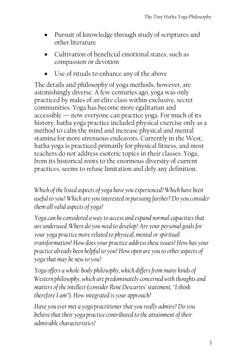- Pursuit of knowledge through study of scriptures and other literature
- Cultivation of beneficial emotional states, such as compassion or devotion
- Use of rituals to enhance any of the above

The details and philosophy of yoga methods, however, are astonishingly diverse. A few centuries ago, yoga was only practiced by males of an elite class within exclusive, secret communities. Yoga has become more egalitarian and accessible — now everyone can practice yoga. For much of its history, hatha yoga practice included physical exercise only as a method to calm the mind and increase physical and mental stamina for more strenuous endeavors. Currently in the West, hatha yoga is practiced primarily for physical fitness, and most teachers do not address esoteric topics in their classes. Yoga, from its historical roots to the enormous diversity of current practices, seems to refuse limitation and defy any definition.

*Which of the listed aspects of yoga have you experienced? Which have been useful to you? Which are you interested in pursuing further? Do you consider them all valid aspects of yoga?* 

*Yoga can be considered a way to access and expand normal capacities that are underused. Where do you need to develop? Are your personal goals for your yoga practice more related to physical, mental or spiritual transformation? How does your practice address these issues? How has your practice already been helpful to you? How open are you to other aspects of yoga that may be new to you?* 

*Yoga offers a whole-body philosophy, which differs from many kinds of Western philosophy, which are predominately concerned with thoughts and matters of the intellect (consider René Descartes' statement, "I think therefore I am"). How integrated is your approach?* 

*Have you ever met a yoga practitioner that you really admire? Do you believe that their yoga practice contributed to the attainment of their admirable characteristics?*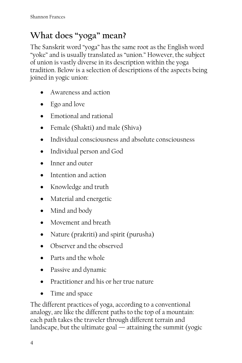## **What does "yoga" mean?**

The Sanskrit word "yoga" has the same root as the English word "yoke" and is usually translated as "union." However, the subject of union is vastly diverse in its description within the yoga tradition. Below is a selection of descriptions of the aspects being joined in yogic union:

- Awareness and action
- Ego and love
- Emotional and rational
- Female (Shakti) and male (Shiva)
- Individual consciousness and absolute consciousness
- Individual person and God
- Inner and outer
- Intention and action
- Knowledge and truth
- Material and energetic
- Mind and body
- Movement and breath
- Nature (prakriti) and spirit (purusha)
- Observer and the observed
- Parts and the whole
- Passive and dynamic
- Practitioner and his or her true nature
- Time and space

The different practices of yoga, according to a conventional analogy, are like the different paths to the top of a mountain: each path takes the traveler through different terrain and landscape, but the ultimate goal — attaining the summit (yogic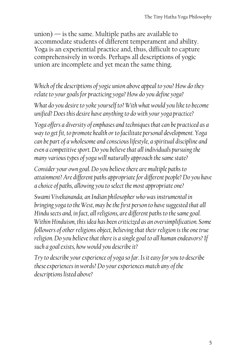$union)$  — is the same. Multiple paths are available to accommodate students of different temperament and ability. Yoga is an experiential practice and, thus, difficult to capture comprehensively in words. Perhaps all descriptions of yogic union are incomplete and yet mean the same thing.

*Which of the descriptions of yogic union above appeal to you? How do they relate to your goals for practicing yoga? How do you define yoga?* 

*What do you desire to yoke yourself to? With what would you like to become unified? Does this desire have anything to do with your yoga practice?* 

*Yoga offers a diversity of emphases and techniques that can be practiced as a way to get fit, to promote health or to facilitate personal development. Yoga can be part of a wholesome and conscious lifestyle, a spiritual discipline and even a competitive sport. Do you believe that all individuals pursuing the many various types of yoga will naturally approach the same state?* 

*Consider your own goal. Do you believe there are multiple paths to attainment? Are different paths appropriate for different people? Do you have a choice of paths, allowing you to select the most appropriate one?* 

*Swami Vivekananda, an Indian philosopher who was instrumental in bringing yoga to the West, may be the first person to have suggested that all Hindu sects and, in fact, all religions, are different paths to the same goal. Within Hinduism, this idea has been criticized as an oversimplification. Some followers of other religions object, believing that their religion is the one true religion. Do you believe that there is a single goal to all human endeavors? If such a goal exists, how would you describe it?* 

*Try to describe your experience of yoga so far. Is it easy for you to describe these experiences in words? Do your experiences match any of the descriptions listed above?*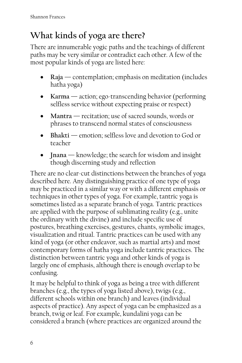## **What kinds of yoga are there?**

There are innumerable yogic paths and the teachings of different paths may be very similar or contradict each other. A few of the most popular kinds of yoga are listed here:

- **Raja** contemplation; emphasis on meditation (includes hatha yoga)
- **Karma** action; ego-transcending behavior (performing selfless service without expecting praise or respect)
- **Mantra** recitation; use of sacred sounds, words or phrases to transcend normal states of consciousness
- **Bhakti** emotion; selfless love and devotion to God or teacher
- **Inana** knowledge; the search for wisdom and insight though discerning study and reflection

There are no clear-cut distinctions between the branches of yoga described here. Any distinguishing practice of one type of yoga may be practiced in a similar way or with a different emphasis or techniques in other types of yoga. For example, tantric yoga is sometimes listed as a separate branch of yoga. Tantric practices are applied with the purpose of sublimating reality (e.g., unite the ordinary with the divine) and include specific use of postures, breathing exercises, gestures, chants, symbolic images, visualization and ritual. Tantric practices can be used with any kind of yoga (or other endeavor, such as martial arts) and most contemporary forms of hatha yoga include tantric practices. The distinction between tantric yoga and other kinds of yoga is largely one of emphasis, although there is enough overlap to be confusing.

It may be helpful to think of yoga as being a tree with different branches (e.g., the types of yoga listed above), twigs (e.g., different schools within one branch) and leaves (individual aspects of practice). Any aspect of yoga can be emphasized as a branch, twig or leaf. For example, kundalini yoga can be considered a branch (where practices are organized around the